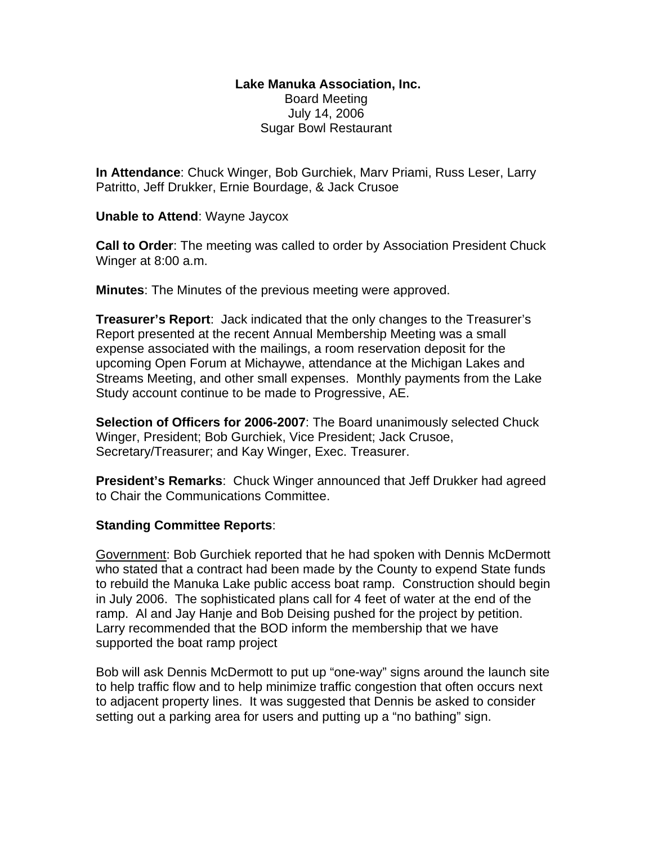## **Lake Manuka Association, Inc.**  Board Meeting July 14, 2006 Sugar Bowl Restaurant

**In Attendance**: Chuck Winger, Bob Gurchiek, Marv Priami, Russ Leser, Larry Patritto, Jeff Drukker, Ernie Bourdage, & Jack Crusoe

**Unable to Attend**: Wayne Jaycox

**Call to Order**: The meeting was called to order by Association President Chuck Winger at 8:00 a.m.

**Minutes**: The Minutes of the previous meeting were approved.

**Treasurer's Report**: Jack indicated that the only changes to the Treasurer's Report presented at the recent Annual Membership Meeting was a small expense associated with the mailings, a room reservation deposit for the upcoming Open Forum at Michaywe, attendance at the Michigan Lakes and Streams Meeting, and other small expenses. Monthly payments from the Lake Study account continue to be made to Progressive, AE.

**Selection of Officers for 2006-2007**: The Board unanimously selected Chuck Winger, President; Bob Gurchiek, Vice President; Jack Crusoe, Secretary/Treasurer; and Kay Winger, Exec. Treasurer.

**President's Remarks**: Chuck Winger announced that Jeff Drukker had agreed to Chair the Communications Committee.

## **Standing Committee Reports**:

Government: Bob Gurchiek reported that he had spoken with Dennis McDermott who stated that a contract had been made by the County to expend State funds to rebuild the Manuka Lake public access boat ramp. Construction should begin in July 2006. The sophisticated plans call for 4 feet of water at the end of the ramp. Al and Jay Hanje and Bob Deising pushed for the project by petition. Larry recommended that the BOD inform the membership that we have supported the boat ramp project

Bob will ask Dennis McDermott to put up "one-way" signs around the launch site to help traffic flow and to help minimize traffic congestion that often occurs next to adjacent property lines. It was suggested that Dennis be asked to consider setting out a parking area for users and putting up a "no bathing" sign.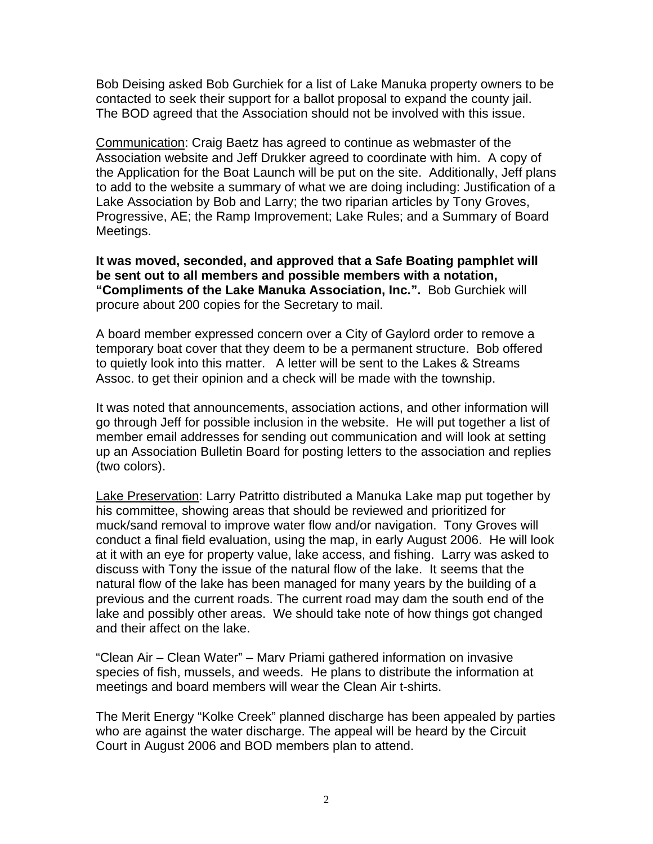Bob Deising asked Bob Gurchiek for a list of Lake Manuka property owners to be contacted to seek their support for a ballot proposal to expand the county jail. The BOD agreed that the Association should not be involved with this issue.

Communication: Craig Baetz has agreed to continue as webmaster of the Association website and Jeff Drukker agreed to coordinate with him. A copy of the Application for the Boat Launch will be put on the site. Additionally, Jeff plans to add to the website a summary of what we are doing including: Justification of a Lake Association by Bob and Larry; the two riparian articles by Tony Groves, Progressive, AE; the Ramp Improvement; Lake Rules; and a Summary of Board Meetings.

**It was moved, seconded, and approved that a Safe Boating pamphlet will be sent out to all members and possible members with a notation, "Compliments of the Lake Manuka Association, Inc.".** Bob Gurchiek will procure about 200 copies for the Secretary to mail.

A board member expressed concern over a City of Gaylord order to remove a temporary boat cover that they deem to be a permanent structure. Bob offered to quietly look into this matter. A letter will be sent to the Lakes & Streams Assoc. to get their opinion and a check will be made with the township.

It was noted that announcements, association actions, and other information will go through Jeff for possible inclusion in the website. He will put together a list of member email addresses for sending out communication and will look at setting up an Association Bulletin Board for posting letters to the association and replies (two colors).

Lake Preservation: Larry Patritto distributed a Manuka Lake map put together by his committee, showing areas that should be reviewed and prioritized for muck/sand removal to improve water flow and/or navigation. Tony Groves will conduct a final field evaluation, using the map, in early August 2006. He will look at it with an eye for property value, lake access, and fishing. Larry was asked to discuss with Tony the issue of the natural flow of the lake. It seems that the natural flow of the lake has been managed for many years by the building of a previous and the current roads. The current road may dam the south end of the lake and possibly other areas. We should take note of how things got changed and their affect on the lake.

"Clean Air – Clean Water" – Marv Priami gathered information on invasive species of fish, mussels, and weeds. He plans to distribute the information at meetings and board members will wear the Clean Air t-shirts.

The Merit Energy "Kolke Creek" planned discharge has been appealed by parties who are against the water discharge. The appeal will be heard by the Circuit Court in August 2006 and BOD members plan to attend.